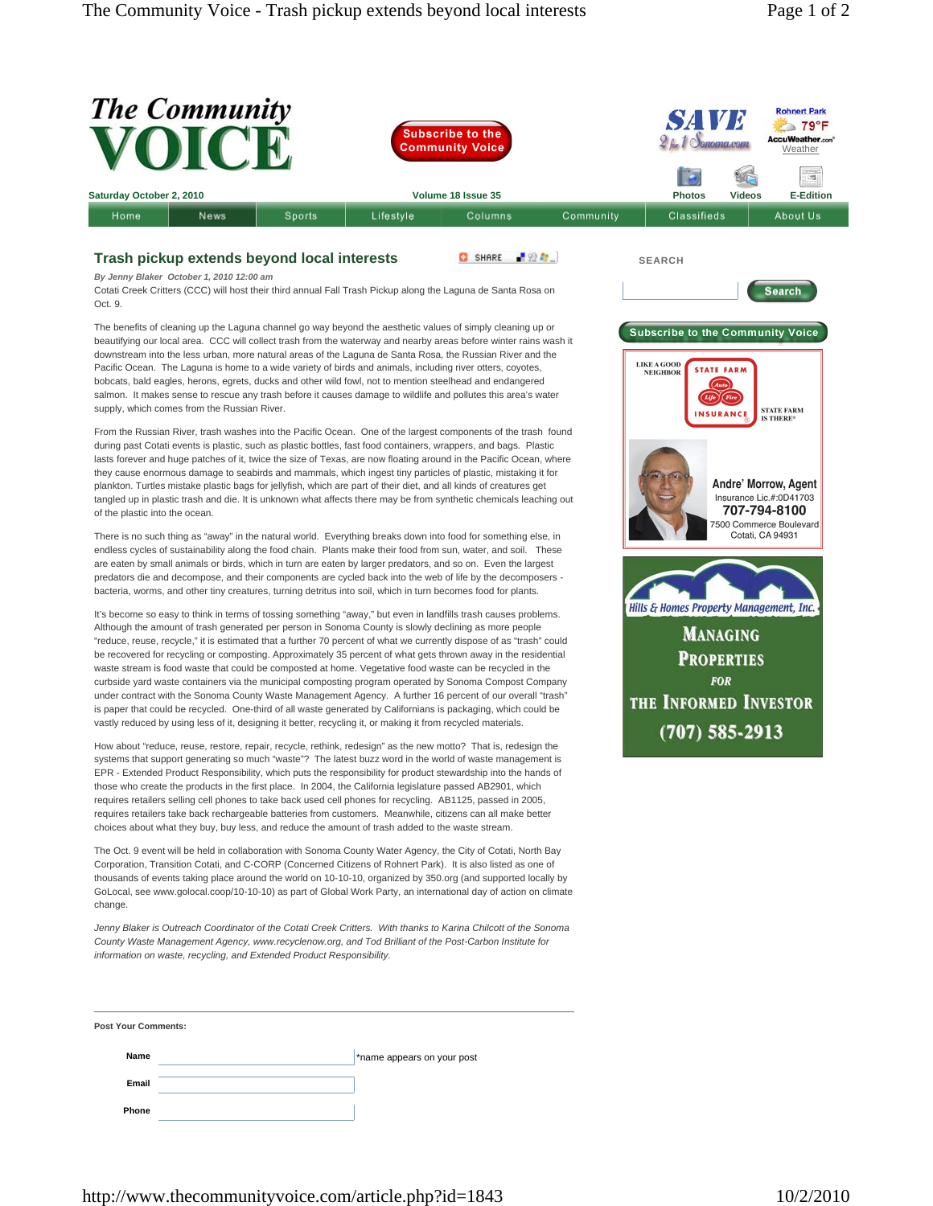